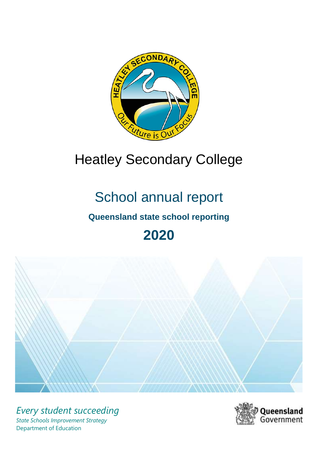

# Heatley Secondary College

# School annual report

## **Queensland state school reporting**

## **2020**



*Every student succeeding State Schools Improvement Strategy* Department of Education

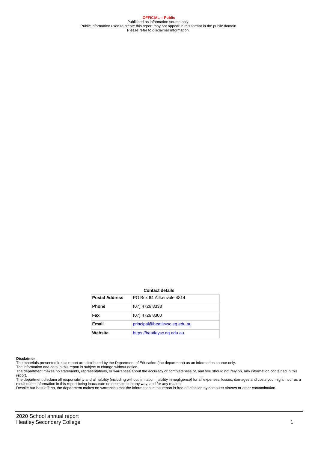**OFFICIAL – Public** Published as information source only. Public information used to create this report may not appear in this format in the public domain Please refer to disclaimer information.

#### **Contact details**

| <b>Postal Address</b> | PO Box 64 Aitkenvale 4814     |
|-----------------------|-------------------------------|
| <b>Phone</b>          | (07) 4726 8333                |
| Fax                   | (07) 4726 8300                |
| Email                 | principal@heatleysc.eq.edu.au |
| Website               | https://heatleysc.eq.edu.au   |

#### **Disclaimer**

The materials presented in this report are distributed by the Department of Education (the department) as an information source only. The information and data in this report is subject to change without notice.

The department makes no statements, representations, or warranties about the accuracy or completeness of, and you should not rely on, any information contained in this report.

The department disclaim all responsibility and all liability (including without limitation, liability in negligence) for all expenses, losses, damages and costs you might incur as a<br>result of the information in this report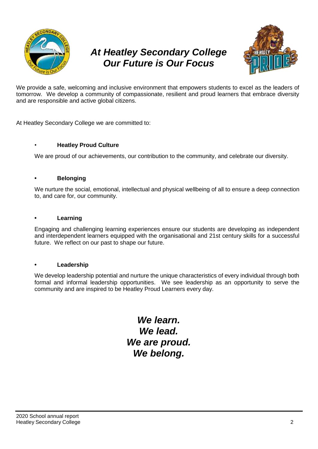

## *At Heatley Secondary College Our Future is Our Focus*



We provide a safe, welcoming and inclusive environment that empowers students to excel as the leaders of tomorrow. We develop a community of compassionate, resilient and proud learners that embrace diversity and are responsible and active global citizens.

At Heatley Secondary College we are committed to:

#### • **Heatley Proud Culture**

We are proud of our achievements, our contribution to the community, and celebrate our diversity.

#### **• Belonging**

We nurture the social, emotional, intellectual and physical wellbeing of all to ensure a deep connection to, and care for, our community.

#### **• Learning**

Engaging and challenging learning experiences ensure our students are developing as independent and interdependent learners equipped with the organisational and 21st century skills for a successful future. We reflect on our past to shape our future.

#### **• Leadership**

We develop leadership potential and nurture the unique characteristics of every individual through both formal and informal leadership opportunities. We see leadership as an opportunity to serve the community and are inspired to be Heatley Proud Learners every day.

> *We learn. We lead. We are proud. We belong.*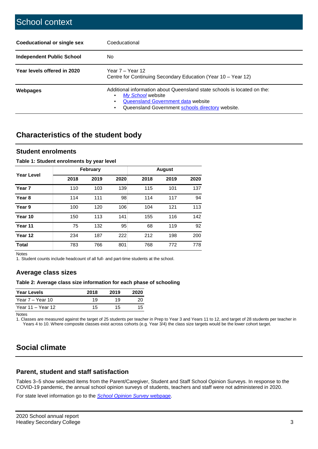| Coeducational or single sex | Coeducational                                                                                                                                                                           |  |  |  |
|-----------------------------|-----------------------------------------------------------------------------------------------------------------------------------------------------------------------------------------|--|--|--|
| Independent Public School   | No.                                                                                                                                                                                     |  |  |  |
| Year levels offered in 2020 | Year 7 – Year 12<br>Centre for Continuing Secondary Education (Year 10 - Year 12)                                                                                                       |  |  |  |
| Webpages                    | Additional information about Queensland state schools is located on the:<br>My School website<br>Queensland Government data website<br>Queensland Government schools directory website. |  |  |  |

## **Characteristics of the student body**

#### **Student enrolments**

#### **Table 1: Student enrolments by year level**

|                   |      | February |      |      |      |      |
|-------------------|------|----------|------|------|------|------|
| <b>Year Level</b> | 2018 | 2019     | 2020 | 2018 | 2019 | 2020 |
| Year <sub>7</sub> | 110  | 103      | 139  | 115  | 101  | 137  |
| Year <sub>8</sub> | 114  | 111      | 98   | 114  | 117  | 94   |
| Year 9            | 100  | 120      | 106  | 104  | 121  | 113  |
| Year 10           | 150  | 113      | 141  | 155  | 116  | 142  |
| Year 11           | 75   | 132      | 95   | 68   | 119  | 92   |
| Year 12           | 234  | 187      | 222  | 212  | 198  | 200  |
| <b>Total</b>      | 783  | 766      | 801  | 768  | 772  | 778  |

Notes

1. Student counts include headcount of all full- and part-time students at the school.

#### **Average class sizes**

#### **Table 2: Average class size information for each phase of schooling**

| <b>Year Levels</b> | 2018 | 2019 | 2020 |
|--------------------|------|------|------|
| Year 7 – Year 10   | 19   | 19   | 20   |
| Year 11 – Year 12  | 15   | 15   | 15   |

Notes

1. Classes are measured against the target of 25 students per teacher in Prep to Year 3 and Years 11 to 12, and target of 28 students per teacher in Years 4 to 10. Where composite classes exist across cohorts (e.g. Year 3/4) the class size targets would be the lower cohort target.

## **Social climate**

#### **Parent, student and staff satisfaction**

Tables 3–5 show selected items from the Parent/Caregiver, Student and Staff School Opinion Surveys. In response to the COVID-19 pandemic, the annual school opinion surveys of students, teachers and staff were not administered in 2020.

For state level information go to the *[School Opinion Survey](https://qed.qld.gov.au/publications/reports/statistics/schooling/schools/schoolopinionsurvey)* [webpage.](https://qed.qld.gov.au/publications/reports/statistics/schooling/schools/schoolopinionsurvey)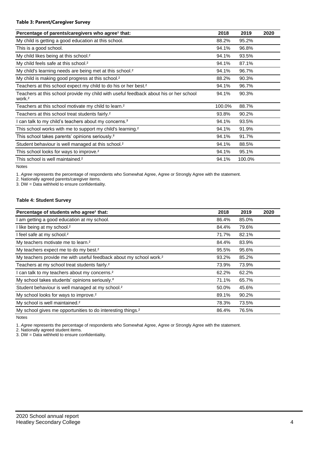#### **Table 3: Parent/Caregiver Survey**

| Percentage of parents/caregivers who agree <sup>1</sup> that:                                               | 2018   | 2019   | 2020 |
|-------------------------------------------------------------------------------------------------------------|--------|--------|------|
| My child is getting a good education at this school.                                                        | 88.2%  | 95.2%  |      |
| This is a good school.                                                                                      | 94.1%  | 96.8%  |      |
| My child likes being at this school. <sup>2</sup>                                                           | 94.1%  | 93.5%  |      |
| My child feels safe at this school. <sup>2</sup>                                                            | 94.1%  | 87.1%  |      |
| My child's learning needs are being met at this school. <sup>2</sup>                                        | 94.1%  | 96.7%  |      |
| My child is making good progress at this school. <sup>2</sup>                                               | 88.2%  | 90.3%  |      |
| Teachers at this school expect my child to do his or her best. <sup>2</sup>                                 | 94.1%  | 96.7%  |      |
| Teachers at this school provide my child with useful feedback about his or her school<br>work. <sup>2</sup> | 94.1%  | 90.3%  |      |
| Teachers at this school motivate my child to learn. <sup>2</sup>                                            | 100.0% | 88.7%  |      |
| Teachers at this school treat students fairly. <sup>2</sup>                                                 | 93.8%  | 90.2%  |      |
| I can talk to my child's teachers about my concerns. <sup>2</sup>                                           | 94.1%  | 93.5%  |      |
| This school works with me to support my child's learning. <sup>2</sup>                                      | 94.1%  | 91.9%  |      |
| This school takes parents' opinions seriously. <sup>2</sup>                                                 | 94.1%  | 91.7%  |      |
| Student behaviour is well managed at this school. <sup>2</sup>                                              | 94.1%  | 88.5%  |      |
| This school looks for ways to improve. <sup>2</sup>                                                         | 94.1%  | 95.1%  |      |
| This school is well maintained. <sup>2</sup>                                                                | 94.1%  | 100.0% |      |

Notes

1. *Agree* represents the percentage of respondents who Somewhat Agree, Agree or Strongly Agree with the statement.

2. Nationally agreed parents/caregiver items.

3. DW = Data withheld to ensure confidentiality.

#### **Table 4: Student Survey**

| Percentage of students who agree <sup>1</sup> that:                            | 2018  | 2019  | 2020 |
|--------------------------------------------------------------------------------|-------|-------|------|
| I am getting a good education at my school.                                    | 86.4% | 85.0% |      |
| I like being at my school. <sup>2</sup>                                        | 84.4% | 79.6% |      |
| I feel safe at my school. <sup>2</sup>                                         | 71.7% | 82.1% |      |
| My teachers motivate me to learn. <sup>2</sup>                                 | 84.4% | 83.9% |      |
| My teachers expect me to do my best. <sup>2</sup>                              | 95.5% | 95.6% |      |
| My teachers provide me with useful feedback about my school work. <sup>2</sup> | 93.2% | 85.2% |      |
| Teachers at my school treat students fairly. <sup>2</sup>                      | 73.9% | 73.9% |      |
| I can talk to my teachers about my concerns. <sup>2</sup>                      | 62.2% | 62.2% |      |
| My school takes students' opinions seriously. <sup>2</sup>                     | 71.1% | 65.7% |      |
| Student behaviour is well managed at my school. <sup>2</sup>                   | 50.0% | 45.6% |      |
| My school looks for ways to improve. <sup>2</sup>                              | 89.1% | 90.2% |      |
| My school is well maintained. <sup>2</sup>                                     | 78.3% | 73.5% |      |
| My school gives me opportunities to do interesting things. <sup>2</sup>        | 86.4% | 76.5% |      |

Notes

1. *Agree* represents the percentage of respondents who Somewhat Agree, Agree or Strongly Agree with the statement.

2. Nationally agreed student items.

3. DW = Data withheld to ensure confidentiality.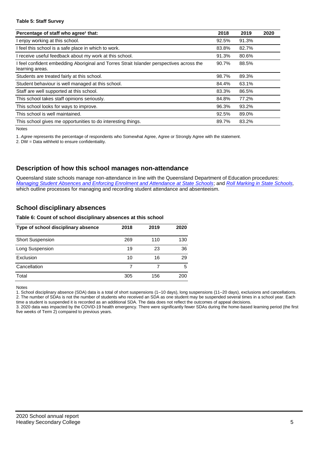#### **Table 5: Staff Survey**

| Percentage of staff who agree <sup>1</sup> that:                                                            | 2018  | 2019  | 2020 |
|-------------------------------------------------------------------------------------------------------------|-------|-------|------|
| I enjoy working at this school.                                                                             | 92.5% | 91.3% |      |
| I feel this school is a safe place in which to work.                                                        | 83.8% | 82.7% |      |
| receive useful feedback about my work at this school.                                                       | 91.3% | 80.6% |      |
| I feel confident embedding Aboriginal and Torres Strait Islander perspectives across the<br>learning areas. | 90.7% | 88.5% |      |
| Students are treated fairly at this school.                                                                 | 98.7% | 89.3% |      |
| Student behaviour is well managed at this school.                                                           | 84.4% | 63.1% |      |
| Staff are well supported at this school.                                                                    | 83.3% | 86.5% |      |
| This school takes staff opinions seriously.                                                                 | 84.8% | 77.2% |      |
| This school looks for ways to improve.                                                                      | 96.3% | 93.2% |      |
| This school is well maintained.                                                                             | 92.5% | 89.0% |      |
| This school gives me opportunities to do interesting things.                                                | 89.7% | 83.2% |      |

Notes

1. *Agree* represents the percentage of respondents who Somewhat Agree, Agree or Strongly Agree with the statement.

2. DW = Data withheld to ensure confidentiality.

#### **Description of how this school manages non-attendance**

Queensland state schools manage non-attendance in line with the Queensland Department of Education procedures: *[Managing Student Absences and Enforcing Enrolment and Attendance at State Schools](https://ppr.qed.qld.gov.au/pp/managing-student-absences-and-enforcing-enrolment-and-attendance-at-state-schools-procedure)*; and *[Roll Marking in State Schools,](https://ppr.qed.qld.gov.au/pp/roll-marking-in-state-schools-procedure)* which outline processes for managing and recording student attendance and absenteeism.

#### **School disciplinary absences**

#### **Table 6: Count of school disciplinary absences at this school**

| Type of school disciplinary absence | 2018 | 2019 | 2020 |
|-------------------------------------|------|------|------|
| <b>Short Suspension</b>             | 269  | 110  | 130  |
| Long Suspension                     | 19   | 23   | 36   |
| Exclusion                           | 10   | 16   | 29   |
| Cancellation                        |      |      | 5    |
| Total                               | 305  | 156  | 200  |

Notes

1. School disciplinary absence (SDA) data is a total of short suspensions (1–10 days), long suspensions (11–20 days), exclusions and cancellations. 2. The number of SDAs is not the number of students who received an SDA as one student may be suspended several times in a school year. Each time a student is suspended it is recorded as an additional SDA. The data does not reflect the outcomes of appeal decisions.

3. 2020 data was impacted by the COVID-19 health emergency. There were significantly fewer SDAs during the home-based learning period (the first five weeks of Term 2) compared to previous years.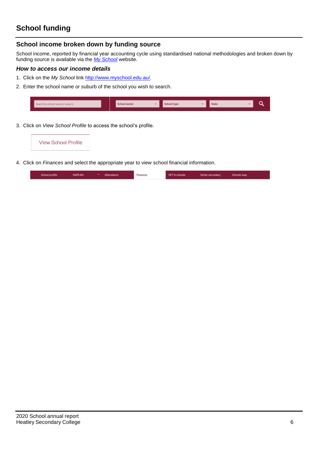## **School funding**

#### **School income broken down by funding source**

School income, reported by financial year accounting cycle using standardised national methodologies and broken down by funding source is available via the *[My School](http://www.myschool.edu.au/)* website.

#### *How to access our income details*

- 1. Click on the *My School* link [http://www.myschool.edu.au/.](http://www.myschool.edu.au/)
- 2. Enter the school name or suburb of the school you wish to search.

| Search by school name or suburb |  | School sector | <b>School type</b> | State |  |
|---------------------------------|--|---------------|--------------------|-------|--|
|                                 |  |               |                    |       |  |
|                                 |  |               |                    |       |  |

3. Click on *View School Profile* to access the school's profile.



4. Click on *Finances* and select the appropriate year to view school financial information.

| VAPLAN<br>School profile<br>the property of the property of the con- |  | Attendance<br>------ | Finances | VET in schools | Senior secondary | Schools map |
|----------------------------------------------------------------------|--|----------------------|----------|----------------|------------------|-------------|
|----------------------------------------------------------------------|--|----------------------|----------|----------------|------------------|-------------|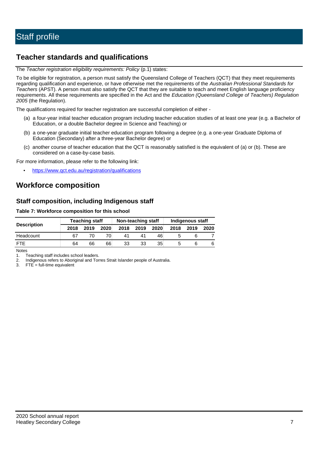## **Teacher standards and qualifications**

The *Teacher registration eligibility requirements: Policy* (p.1) states:

To be eligible for registration, a person must satisfy the Queensland College of Teachers (QCT) that they meet requirements regarding qualification and experience, or have otherwise met the requirements of the *Australian Professional Standards for Teachers* (APST). A person must also satisfy the QCT that they are suitable to teach and meet English language proficiency requirements. All these requirements are specified in the Act and the *Education (Queensland College of Teachers) Regulation 2005* (the Regulation).

The qualifications required for teacher registration are successful completion of either -

- (a) a four-year initial teacher education program including teacher education studies of at least one year (e.g. a Bachelor of Education, or a double Bachelor degree in Science and Teaching) or
- (b) a one-year graduate initial teacher education program following a degree (e.g. a one-year Graduate Diploma of Education (Secondary) after a three-year Bachelor degree) or
- (c) another course of teacher education that the QCT is reasonably satisfied is the equivalent of (a) or (b). These are considered on a case-by-case basis.

For more information, please refer to the following link:

• <https://www.qct.edu.au/registration/qualifications>

### **Workforce composition**

#### **Staff composition, including Indigenous staff**

#### **Table 7: Workforce composition for this school**

|                    |      | <b>Teaching staff</b> |      | Non-teaching staff |      |      | Indigenous staff |      |      |  |
|--------------------|------|-----------------------|------|--------------------|------|------|------------------|------|------|--|
| <b>Description</b> | 2018 | 2019                  | 2020 | 2018               | 2019 | 2020 | 2018             | 2019 | 2020 |  |
| Headcount          | 67   |                       |      |                    |      | 46   |                  |      |      |  |
| <b>FTF</b>         | 64   | 66                    | 66   | 33                 | 33   | 35   |                  |      | 6    |  |

Notes

1. Teaching staff includes school leaders.<br>2. Indigenous refers to Aboriginal and Tor

2. Indigenous refers to Aboriginal and Torres Strait Islander people of Australia.<br>3. FTE = full-time equivalent

 $FTE = full-time equivalent$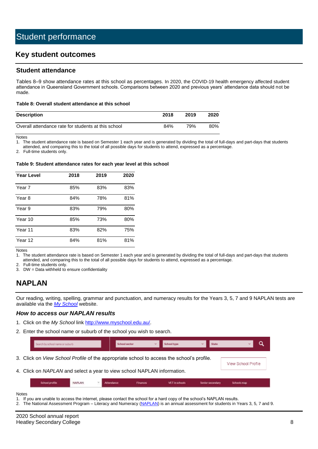### **Key student outcomes**

#### **Student attendance**

Tables 8–9 show attendance rates at this school as percentages. In 2020, the COVID-19 health emergency affected student attendance in Queensland Government schools. Comparisons between 2020 and previous years' attendance data should not be made.

#### **Table 8: Overall student attendance at this school**

| <b>Description</b>                                  | 2018 | 2019 | 2020 |
|-----------------------------------------------------|------|------|------|
| Overall attendance rate for students at this school | 84%  | 79%  | 80%  |

Notes<br>1. Th

The student attendance rate is based on Semester 1 each year and is generated by dividing the total of full-days and part-days that students attended, and comparing this to the total of all possible days for students to attend, expressed as a percentage.

2. Full-time students only.

#### **Table 9: Student attendance rates for each year level at this school**

| <b>Year Level</b> | 2018 | 2019 | 2020 |  |
|-------------------|------|------|------|--|
| Year 7            | 85%  | 83%  | 83%  |  |
| Year 8            | 84%  | 78%  | 81%  |  |
| Year 9            | 83%  | 79%  | 80%  |  |
| Year 10           | 85%  | 73%  | 80%  |  |
| Year 11           | 83%  | 82%  | 75%  |  |
| Year 12           | 84%  | 81%  | 81%  |  |

Notes

1. The student attendance rate is based on Semester 1 each year and is generated by dividing the total of full-days and part-days that students attended, and comparing this to the total of all possible days for students to attend, expressed as a percentage.

2. Full-time students only.<br>3. DW = Data withheld to

 $DW = Data$  withheld to ensure confidentiality

## **NAPLAN**

Our reading, writing, spelling, grammar and punctuation, and numeracy results for the Years 3, 5, 7 and 9 NAPLAN tests are available via the *[My School](http://www.myschool.edu.au/)* website.

#### *How to access our NAPLAN results*

- 1. Click on the *My School* link [http://www.myschool.edu.au/.](http://www.myschool.edu.au/)
- 2. Enter the school name or suburb of the school you wish to search.

|                                                                                                  | Search by school name or suburb |        |  | School sector |                 | <b>School type</b> |  | State            |                            |
|--------------------------------------------------------------------------------------------------|---------------------------------|--------|--|---------------|-----------------|--------------------|--|------------------|----------------------------|
| 3. Click on <i>View School Profile</i> of the appropriate school to access the school's profile. |                                 |        |  |               |                 |                    |  |                  | <b>View School Profile</b> |
| 4. Click on NAPLAN and select a year to view school NAPLAN information.                          |                                 |        |  |               |                 |                    |  |                  |                            |
|                                                                                                  | School profile                  | NAPLAN |  | Attendance:   | <b>Finances</b> | VET in schools:    |  | Senior secondary | Schools map                |

Notes

- 1. If you are unable to access the internet, please contact the school for a hard copy of the school's NAPLAN results.
- 2. The National Assessment Program Literacy and Numeracy [\(NAPLAN\)](http://www.nap.edu.au/naplan) is an annual assessment for students in Years 3, 5, 7 and 9.

2020 School annual report Heatley Secondary College 8 and 2008 and 2008 and 2008 and 2008 and 2008 and 2008 and 2008 and 2008 and 2008 and 2008 and 2008 and 2008 and 2008 and 2008 and 2008 and 2008 and 2008 and 2008 and 2008 and 2008 and 2008 and 2